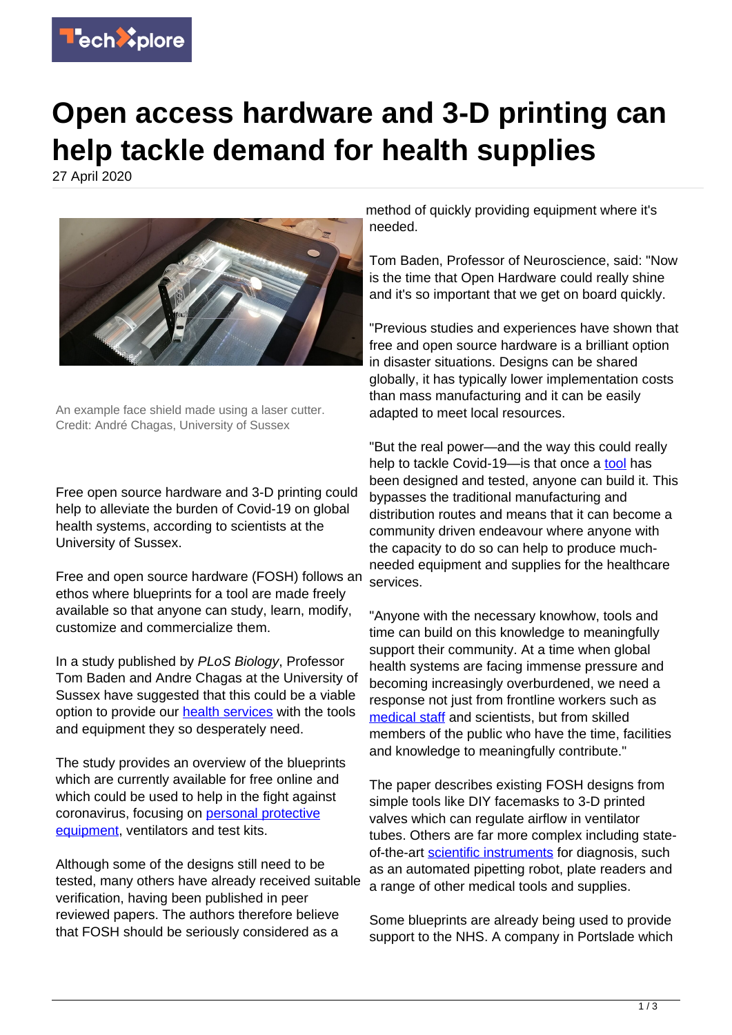

## **Open access hardware and 3-D printing can help tackle demand for health supplies**

27 April 2020



An example face shield made using a laser cutter. Credit: André Chagas, University of Sussex

Free open source hardware and 3-D printing could help to alleviate the burden of Covid-19 on global health systems, according to scientists at the University of Sussex.

Free and open source hardware (FOSH) follows an ethos where blueprints for a tool are made freely available so that anyone can study, learn, modify, customize and commercialize them.

In a study published by PLoS Biology, Professor Tom Baden and Andre Chagas at the University of Sussex have suggested that this could be a viable option to provide our [health services](https://techxplore.com/tags/health+services/) with the tools and equipment they so desperately need.

The study provides an overview of the blueprints which are currently available for free online and which could be used to help in the fight against coronavirus, focusing on [personal protective](https://techxplore.com/tags/personal+protective+equipment/) [equipment,](https://techxplore.com/tags/personal+protective+equipment/) ventilators and test kits.

Although some of the designs still need to be tested, many others have already received suitable verification, having been published in peer reviewed papers. The authors therefore believe that FOSH should be seriously considered as a

method of quickly providing equipment where it's needed.

Tom Baden, Professor of Neuroscience, said: "Now is the time that Open Hardware could really shine and it's so important that we get on board quickly.

"Previous studies and experiences have shown that free and open source hardware is a brilliant option in disaster situations. Designs can be shared globally, it has typically lower implementation costs than mass manufacturing and it can be easily adapted to meet local resources.

"But the real power—and the way this could really help to tackle Covid-19- is that once a [tool](https://techxplore.com/tags/tool/) has been designed and tested, anyone can build it. This bypasses the traditional manufacturing and distribution routes and means that it can become a community driven endeavour where anyone with the capacity to do so can help to produce muchneeded equipment and supplies for the healthcare services.

"Anyone with the necessary knowhow, tools and time can build on this knowledge to meaningfully support their community. At a time when global health systems are facing immense pressure and becoming increasingly overburdened, we need a response not just from frontline workers such as [medical staff](https://techxplore.com/tags/medical+staff/) and scientists, but from skilled members of the public who have the time, facilities and knowledge to meaningfully contribute."

The paper describes existing FOSH designs from simple tools like DIY facemasks to 3-D printed valves which can regulate airflow in ventilator tubes. Others are far more complex including stateof-the-art [scientific instruments](https://techxplore.com/tags/scientific+instruments/) for diagnosis, such as an automated pipetting robot, plate readers and a range of other medical tools and supplies.

Some blueprints are already being used to provide support to the NHS. A company in Portslade which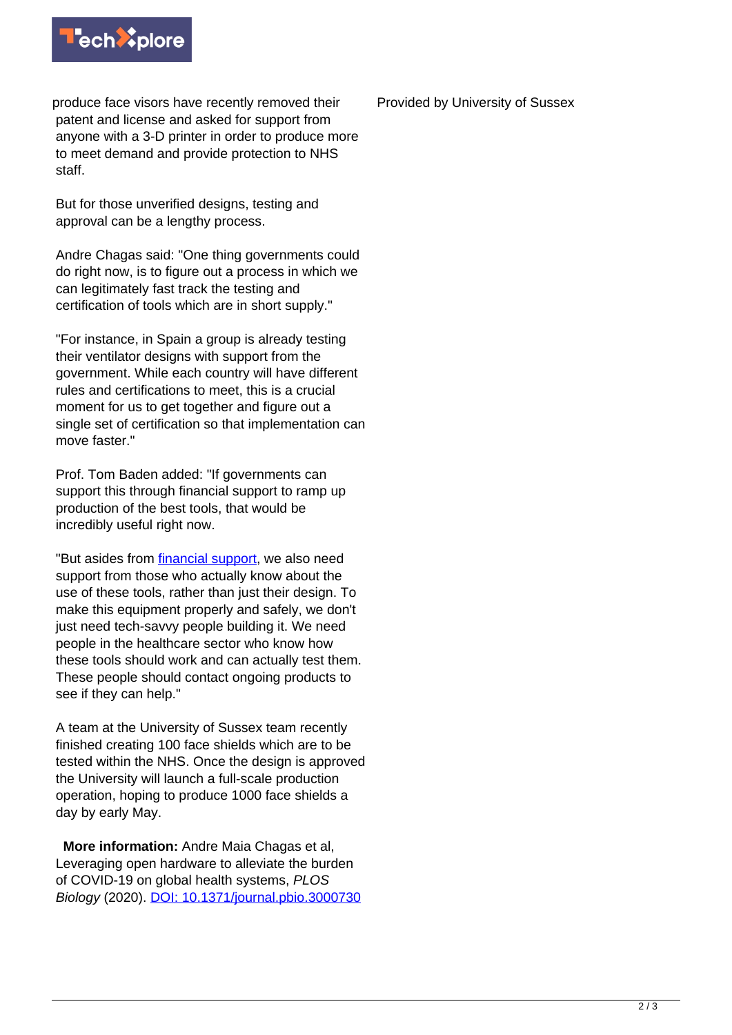

produce face visors have recently removed their patent and license and asked for support from anyone with a 3-D printer in order to produce more to meet demand and provide protection to NHS staff.

But for those unverified designs, testing and approval can be a lengthy process.

Andre Chagas said: "One thing governments could do right now, is to figure out a process in which we can legitimately fast track the testing and certification of tools which are in short supply."

"For instance, in Spain a group is already testing their ventilator designs with support from the government. While each country will have different rules and certifications to meet, this is a crucial moment for us to get together and figure out a single set of certification so that implementation can move faster."

Prof. Tom Baden added: "If governments can support this through financial support to ramp up production of the best tools, that would be incredibly useful right now.

"But asides from [financial support,](https://techxplore.com/tags/financial+support/) we also need support from those who actually know about the use of these tools, rather than just their design. To make this equipment properly and safely, we don't just need tech-savvy people building it. We need people in the healthcare sector who know how these tools should work and can actually test them. These people should contact ongoing products to see if they can help."

A team at the University of Sussex team recently finished creating 100 face shields which are to be tested within the NHS. Once the design is approved the University will launch a full-scale production operation, hoping to produce 1000 face shields a day by early May.

 **More information:** Andre Maia Chagas et al, Leveraging open hardware to alleviate the burden of COVID-19 on global health systems, PLOS Biology (2020). [DOI: 10.1371/journal.pbio.3000730](http://dx.doi.org/10.1371/journal.pbio.3000730) Provided by University of Sussex